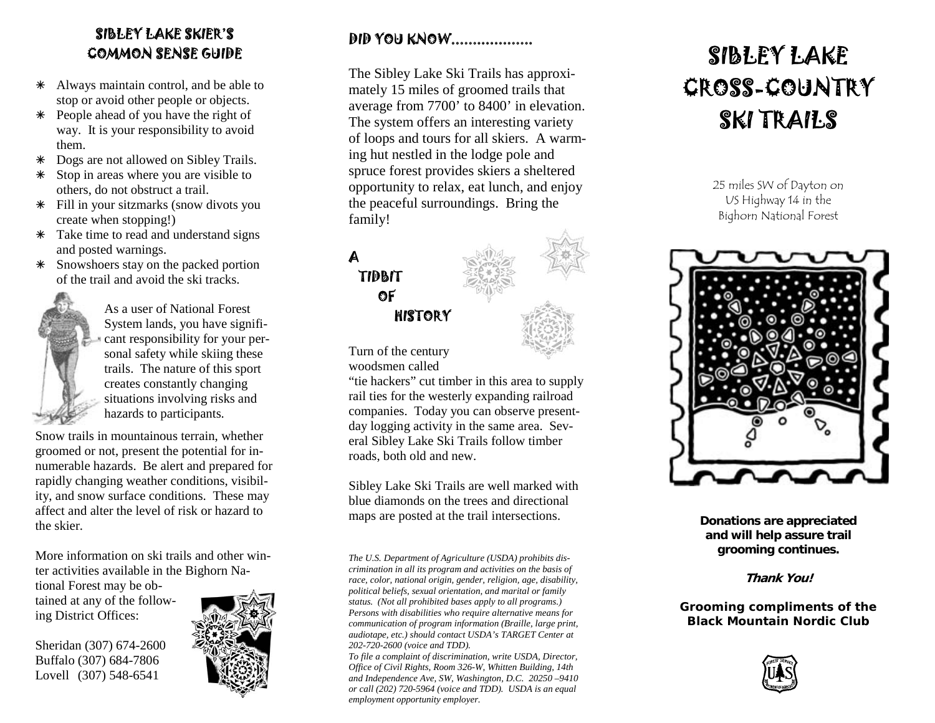## SIBLEY LAKE SKIER'S COMMON SENSE GUIDE

- \* Always maintain control, and be able to stop or avoid other people or objects.
- à People ahead of you have the right of way. It is your responsibility to avoid them.
- à Dogs are not allowed on Sibley Trails.
- $*$  Stop in areas where you are visible to others, do not obstruct a trail.
- $*$  Fill in your sitzmarks (snow divots you create when stopping!)
- \* Take time to read and understand signs and posted warnings.
- à Snowshoers stay on the packed portion of the trail and avoid the ski tracks.

As a user of National Forest System lands, you have significant responsibility for your personal safety while skiing these trails. The nature of this sport creates constantly changing situations involving risks and hazards to participants.

Snow trails in mountainous terrain, whether groomed or not, present the potential for innumerable hazards. Be alert and prepared for rapidly changing weather conditions, visibility, and snow surface conditions. These may affect and alter the level of risk or hazard to the skier.

More information on ski trails and other winter activities available in the Bighorn Na-

tional Forest may be obtained at any of the following District Offices:

Sheridan (307) 674-2600 Buffalo (307) 684-7806 Lovell (307) 548-6541



## DID YOU KNOW...................

The Sibley Lake Ski Trails has approximately 15 miles of groomed trails that average from 7700' to 8400' in elevation. The system offers an interesting variety of loops and tours for all skiers. A warming hut nestled in the lodge pole and spruce forest provides skiers a sheltered opportunity to relax, eat lunch, and enjoy the peaceful surroundings. Bring the family!



Turn of the century woodsmen called

"tie hackers" cut timber in this area to supply rail ties for the westerly expanding railroad companies. Today you can observe presentday logging activity in the same area. Several Sibley Lake Ski Trails follow timber roads, both old and new.

Sibley Lake Ski Trails are well marked with blue diamonds on the trees and directional maps are posted at the trail intersections.

*The U.S. Department of Agriculture (USDA) prohibits discrimination in all its program and activities on the basis of race, color, national origin, gender, religion, age, disability, political beliefs, sexual orientation, and marital or family status. (Not all prohibited bases apply to all programs.) Persons with disabilities who require alternative means for communication of program information (Braille, large print, audiotape, etc.) should contact USDA's TARGET Center at 202-720-2600 (voice and TDD).* 

*To file a complaint of discrimination, write USDA, Director, Office of Civil Rights, Room 326-W, Whitten Building, 14th and Independence Ave, SW, Washington, D.C. 20250 –9410 or call (202) 720-5964 (voice and TDD). USDA is an equal employment opportunity employer.* 

## SIBLEY LAKE CROSS-COUNTRY SKI TRAILS

25 miles SW of Dayton on US Highway 14 in the Bighorn National Forest



**Donations are appreciated and will help assure trail grooming continues.** 

**Thank You!** 

**Grooming compliments of the Black Mountain Nordic Club**